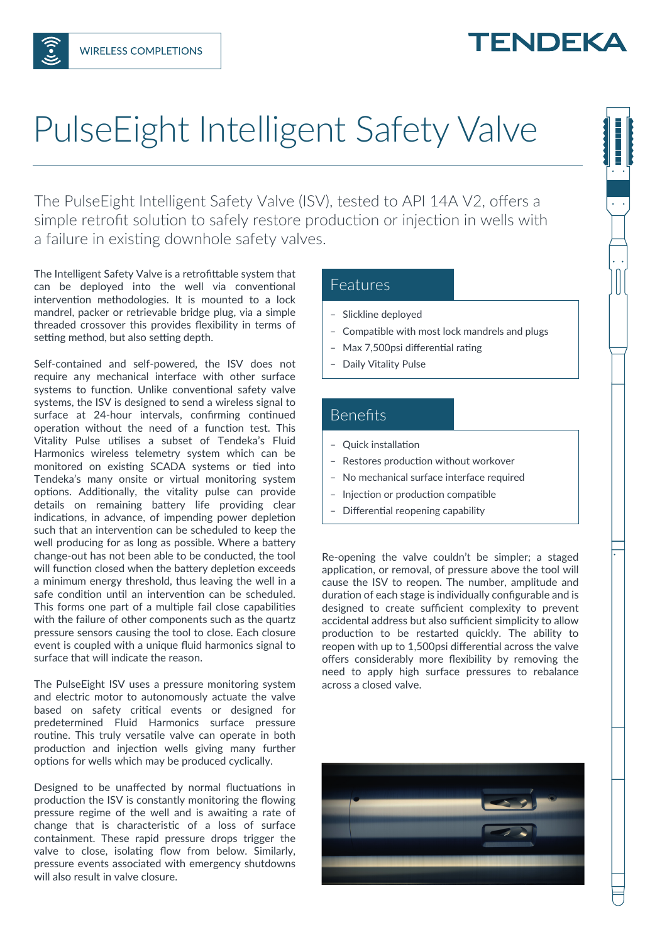## TENDEKA

# PulseEight Intelligent Safety Valve

The PulseEight Intelligent Safety Valve (ISV), tested to API 14A V2, offers a simple retrofit solution to safely restore production or injection in wells with a failure in existing downhole safety valves.

The Intelligent Safety Valve is a retrofittable system that can be deployed into the well via conventional intervention methodologies. It is mounted to a lock mandrel, packer or retrievable bridge plug, via a simple threaded crossover this provides flexibility in terms of setting method, but also setting depth.

Self-contained and self-powered, the ISV does not require any mechanical interface with other surface systems to function. Unlike conventional safety valve systems, the ISV is designed to send a wireless signal to surface at 24-hour intervals, confirming continued operation without the need of a function test. This Vitality Pulse utilises a subset of Tendeka's Fluid Harmonics wireless telemetry system which can be monitored on existing SCADA systems or tied into Tendeka's many onsite or virtual monitoring system options. Additionally, the vitality pulse can provide details on remaining battery life providing clear indications, in advance, of impending power depletion such that an intervention can be scheduled to keep the well producing for as long as possible. Where a battery change-out has not been able to be conducted, the tool will function closed when the battery depletion exceeds a minimum energy threshold, thus leaving the well in a safe condition until an intervention can be scheduled. This forms one part of a multiple fail close capabilities with the failure of other components such as the quartz pressure sensors causing the tool to close. Each closure event is coupled with a unique fluid harmonics signal to surface that will indicate the reason.

The PulseEight ISV uses a pressure monitoring system and electric motor to autonomously actuate the valve based on safety critical events or designed for predetermined Fluid Harmonics surface pressure routine. This truly versatile valve can operate in both production and injection wells giving many further options for wells which may be produced cyclically.

Designed to be unaffected by normal fluctuations in production the ISV is constantly monitoring the flowing pressure regime of the well and is awaiting a rate of change that is characteristic of a loss of surface containment. These rapid pressure drops trigger the valve to close, isolating flow from below. Similarly, pressure events associated with emergency shutdowns will also result in valve closure.

#### Features

- Slickline deployed
- Compatible with most lock mandrels and plugs
- Max 7,500psi differential rating
- Daily Vitality Pulse

### Benefits

- Quick installation
- Restores production without workover
- No mechanical surface interface required
- Injection or production compatible
- Differential reopening capability

Re-opening the valve couldn't be simpler; a staged application, or removal, of pressure above the tool will cause the ISV to reopen. The number, amplitude and duration of each stage is individually configurable and is designed to create sufficient complexity to prevent accidental address but also sufficient simplicity to allow production to be restarted quickly. The ability to reopen with up to 1,500psi differential across the valve offers considerably more flexibility by removing the need to apply high surface pressures to rebalance across a closed valve.